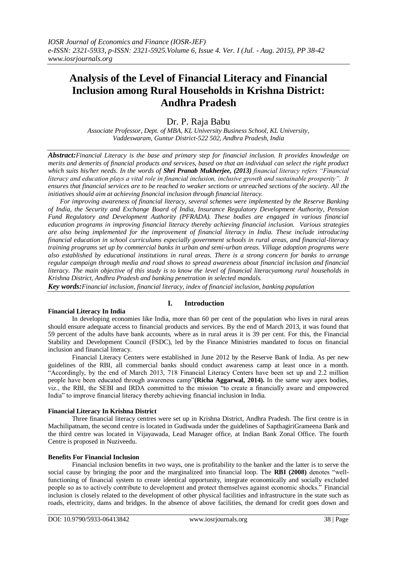# **Analysis of the Level of Financial Literacy and Financial Inclusion among Rural Households in Krishna District: Andhra Pradesh**

# Dr. P. Raja Babu

*Associate Professor, Dept. of MBA, KL University Business School, KL University, Vaddeswaram, Guntur District-522 502, Andhra Pradesh, India*

*Abstract:Financial Literacy is the base and primary step for financial inclusion. It provides knowledge on merits and demerits of financial products and services, based on that an individual can select the right product which suits his/her needs. In the words of Shri Pranab Mukherjee, (2013) financial literacy refers "Financial literacy and education plays a vital role in financial inclusion, inclusive growth and sustainable prosperity". It ensures that financial services are to be reached to weaker sections or unreached sections of the society. All the initiatives should aim at achieving financial inclusion through financial literacy.*

*For improving awareness of financial literacy, several schemes were implemented by the Reserve Banking of India, the Security and Exchange Board of India, Insurance Regulatory Development Authority, Pension Fund Regulatory and Development Authority (PFRADA). These bodies are engaged in various financial education programs in improving financial literacy thereby achieving financial inclusion. Various strategies are also being implemented for the improvement of financial literacy in India. These include introducing financial education in school curriculums especially government schools in rural areas, and financial-literacy training programs set up by commercial banks in urban and semi-urban areas. Village adoption programs were also established by educational institutions in rural areas. There is a strong concern for banks to arrange regular campaign through media and road shows to spread awareness about financial inclusion and financial literacy. The main objective of this study is to know the level of financial literacyamong rural households in Krishna District, Andhra Pradesh and banking penetration in selected mandals.*

*Key words:Financial inclusion, financial literacy, index of financial inclusion, banking population*

# **Financial Literacy In India**

## **I. Introduction**

In developing economies like India, more than 60 per cent of the population who lives in rural areas should ensure adequate access to financial products and services. By the end of March 2013, it was found that 59 percent of the adults have bank accounts, where as in rural areas it is 39 per cent. For this, the Financial Stability and Development Council (FSDC), led by the Finance Ministries mandated to focus on financial inclusion and financial literacy.

Financial Literacy Centers were established in June 2012 by the Reserve Bank of India. As per new guidelines of the RBI, all commercial banks should conduct awareness camp at least once in a month. "Accordingly, by the end of March 2013, 718 Financial Literacy Centers have been set up and 2.2 million people have been educated through awareness camp"**(Richa Aggarwal, 2014).** In the same way apex bodies, viz., the RBI, the SEBI and IRDA committed to the mission "to create a financially aware and empowered India" to improve financial literacy thereby achieving financial inclusion in India.

#### **Financial Literacy In Krishna District**

Three financial literacy centres were set up in Krishna District, Andhra Pradesh. The first centre is in Machilipatnam, the second centre is located in Gudiwada under the guidelines of SapthagiriGrameena Bank and the third centre was located in Vijayawada, Lead Manager office, at Indian Bank Zonal Office. The fourth Centre is proposed in Nuziveedu.

#### **Benefits For Financial Inclusion**

Financial inclusion benefits in two ways, one is profitability to the banker and the latter is to serve the social cause by bringing the poor and the marginalized into financial loop. The **RBI (2008)** denotes "wellfunctioning of financial system to create identical opportunity, integrate economically and socially excluded people so as to actively contribute to development and protect themselves against economic shocks." Financial inclusion is closely related to the development of other physical facilities and infrastructure in the state such as roads, electricity, dams and bridges. In the absence of above facilities, the demand for credit goes down and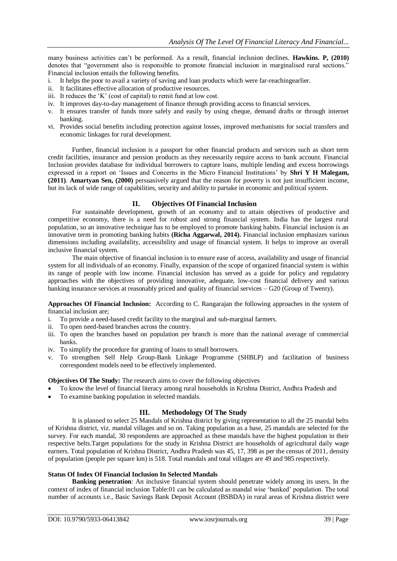many business activities can"t be performed. As a result, financial inclusion declines. **Hawkins. P, (2010)**  denotes that "government also is responsible to promote financial inclusion in marginalised rural sections." Financial inclusion entails the following benefits.

- i. It helps the poor to avail a variety of saving and loan products which were far-reachingearlier.
- ii. It facilitates effective allocation of productive resources.
- iii. It reduces the "K" (cost of capital) to remit fund at low cost.
- iv. It improves day-to-day management of finance through providing access to financial services.
- v. It ensures transfer of funds more safely and easily by using cheque, demand drafts or through internet banking.
- vi. Provides social benefits including protection against losses, improved mechanisms for social transfers and economic linkages for rural development.

Further, financial inclusion is a passport for other financial products and services such as short term credit facilities, insurance and pension products as they necessarily require access to bank account. Financial Inclusion provides database for individual borrowers to capture loans, multiple lending and excess borrowings expressed in a report on "Issues and Concerns in the Micro Financial Institutions" by **Shri Y H Malegam, (2011)**. **Amartyan Sen, (2000)** persuasively argued that the reason for poverty is not just insufficient income, but its lack of wide range of capabilities, security and ability to partake in economic and political system.

## **II. Objectives Of Financial Inclusion**

For sustainable development, growth of an economy and to attain objectives of productive and competitive economy, there is a need for robust and strong financial system. India has the largest rural population, so an innovative technique has to be employed to promote banking habits. Financial inclusion is an innovative term in promoting banking habits **(Richa Aggarwal, 2014).** Financial inclusion emphasizes various dimensions including availability, accessibility and usage of financial system. It helps to improve an overall inclusive financial system.

The main objective of financial inclusion is to ensure ease of access, availability and usage of financial system for all individuals of an economy. Finally, expansion of the scope of organized financial system is within its range of people with low income. Financial inclusion has served as a guide for policy and regulatory approaches with the objectives of providing innovative, adequate, low-cost financial delivery and various banking insurance services at reasonably priced and quality of financial services – G20 (Group of Twenty).

**Approaches Of Financial Inclusion:** According to C. Rangarajan the following approaches in the system of financial inclusion are;

- i. To provide a need-based credit facility to the marginal and sub-marginal farmers.
- ii. To open need-based branches across the country.
- iii. To open the branches based on population per branch is more than the national average of commercial banks.
- iv. To simplify the procedure for granting of loans to small borrowers.
- v. To strengthen Self Help Group-Bank Linkage Programme (SHBLP) and facilitation of business correspondent models need to be effectively implemented.

## **Objectives Of The Study:** The research aims to cover the following objectives

- To know the level of financial literacy among rural households in Krishna District, Andhra Pradesh and
- To examine banking population in selected mandals.

## **III. Methodology Of The Study**

It is planned to select 25 Mandals of Krishna district by giving representation to all the 25 mandal belts of Krishna district, viz. mandal villages and so on. Taking population as a base, 25 mandals are selected for the survey. For each mandal, 30 respondents are approached as these mandals have the highest population in their respective belts.Target populations for the study in Krishna District are households of agricultural daily wage earners. Total population of Krishna District, Andhra Pradesh was 45, 17, 398 as per the census of 2011, density of population (people per square km) is 518. Total mandals and total villages are 49 and 985 respectively.

## **Status Of Index Of Financial Inclusion In Selected Mandals**

**Banking penetration**: An inclusive financial system should penetrate widely among its users. In the context of index of financial inclusion Table:01 can be calculated as mandal wise "banked" population. The total number of accounts i.e., Basic Savings Bank Deposit Account (BSBDA) in rural areas of Krishna district were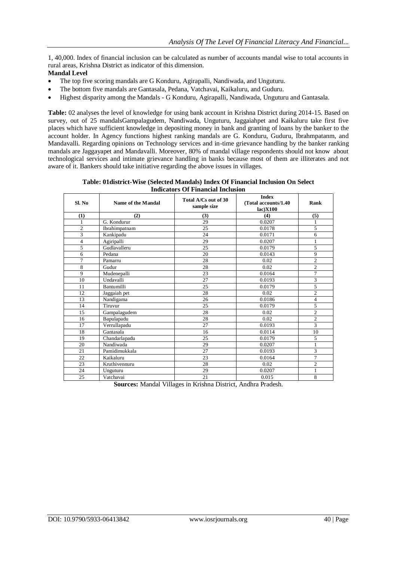1, 40,000. Index of financial inclusion can be calculated as number of accounts mandal wise to total accounts in rural areas, Krishna District as indicator of this dimension.

#### **Mandal Level**

- The top five scoring mandals are G Konduru, Agirapalli, Nandiwada, and Unguturu.
- The bottom five mandals are Gantasala, Pedana, Vatchavai, Kaikaluru, and Guduru.
- Highest disparity among the Mandals G Konduru, Agirapalli, Nandiwada, Unguturu and Gantasala.

**Table:** 02 analyses the level of knowledge for using bank account in Krishna District during 2014-15. Based on survey, out of 25 mandalsGampalagudem, Nandiwada, Unguturu, Jaggaiahpet and Kaikaluru take first five places which have sufficient knowledge in depositing money in bank and granting of loans by the banker to the account holder. In Agency functions highest ranking mandals are G. Konduru, Guduru, Ibrahmpatanm, and Mandavalli. Regarding opinions on Technology services and in-time grievance handling by the banker ranking mandals are Jaggayapet and Mandavalli. Moreover, 80% of mandal village respondents should not know about technological services and intimate grievance handling in banks because most of them are illiterates and not aware of it. Bankers should take initiative regarding the above issues in villages.

**Table: 01district-Wise (Selected Mandals) Index Of Financial Inclusion On Select Indicators Of Financial Inclusion**

| Sl. No         | Name of the Mandal | Total A/Cs out of 30<br>sample size | <b>Index</b><br>(Total accounts/1.40)<br>lac)X100 | Rank           |  |
|----------------|--------------------|-------------------------------------|---------------------------------------------------|----------------|--|
| (1)            | (2)                | (3)                                 | (4)                                               | (5)            |  |
| 1              | G. Kondurur        | 29                                  | 0.0207                                            | 1              |  |
| $\overline{2}$ | Ibrahimpatnam      | 25                                  | 0.0178                                            | 5              |  |
| 3              | Kankipadu          | 24                                  | 0.0171                                            | 6              |  |
| 4              | Agiripalli         | 29                                  | 0.0207                                            | 1              |  |
| 5              | Gudlavalleru       | 25                                  | 0.0179                                            | 5              |  |
| 6              | Pedana             | 20                                  | 0.0143                                            | 9              |  |
| 7              | Pamarru            | 28                                  | 0.02                                              | 2              |  |
| 8              | Gudur              | 28                                  | 0.02                                              | $\overline{c}$ |  |
| 9              | Mudenepalli        | 23                                  | 0.0164                                            | 7              |  |
| 10             | Undavalli          | 27                                  | 0.0193                                            | 3              |  |
| 11             | Bantumilli         | 25                                  | 0.0179                                            | 5              |  |
| 12             | Jaggaiah pet       | 28                                  | 0.02                                              | $\overline{c}$ |  |
| 13             | Nandigama          | 26                                  | 0.0186                                            | $\overline{4}$ |  |
| 14             | Tiruvur            | 25                                  | 0.0179                                            | 5              |  |
| 15             | Gampalagudem       | 28                                  | 0.02                                              | $\mathfrak{2}$ |  |
| 16             | Bapulapadu         | 28                                  | 0.02                                              | $\overline{c}$ |  |
| 17             | Verrullapadu       | 27                                  | 0.0193                                            | 3              |  |
| 18             | Gantasala          | 16                                  | 0.0114                                            | 10             |  |
| 19             | Chandarlapadu      | 25                                  | 0.0179                                            | 5              |  |
| 20             | Nandiwada          | 29                                  | 0.0207                                            | $\mathbf{1}$   |  |
| 21             | Pamidimukkala      | 27                                  | 0.0193                                            | 3              |  |
| 22             | Kaikaluru          | 23                                  | 0.0164                                            | 7              |  |
| 23             | Kruthivennuru      | 28                                  | 0.02                                              | $\overline{2}$ |  |
| 24             | Unguturu           | 29                                  | 0.0207                                            | 1              |  |
| 25             | Vatchavai          | 21                                  | 0.015                                             | 8              |  |

**Sources:** Mandal Villages in Krishna District, Andhra Pradesh.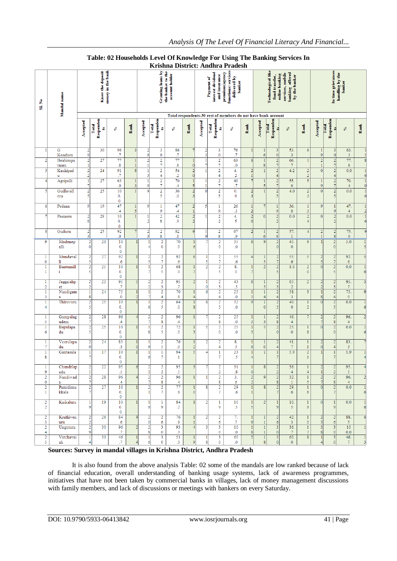|                                  |                                    |                                              |                         |                                                                 |                                                          |                                |                                             | LUJUL                                                                                                               |                                                               |                              |                                                                                                                | aucən                         |                                         |                                                 |                                                           |                                         |                                  |                                                    |                        |                                  |
|----------------------------------|------------------------------------|----------------------------------------------|-------------------------|-----------------------------------------------------------------|----------------------------------------------------------|--------------------------------|---------------------------------------------|---------------------------------------------------------------------------------------------------------------------|---------------------------------------------------------------|------------------------------|----------------------------------------------------------------------------------------------------------------|-------------------------------|-----------------------------------------|-------------------------------------------------|-----------------------------------------------------------|-----------------------------------------|----------------------------------|----------------------------------------------------|------------------------|----------------------------------|
| ż<br>ã                           | Mandal name                        | money in the bank<br><b>Know</b> the deposit |                         |                                                                 | Granting loans by<br>the banker to the<br>account holder |                                |                                             | functions) services<br>interest dividend<br>premium(agency<br>and insurance<br>delivered by<br>Payment of<br>banker |                                                               |                              | Technological like<br>services, mobile<br>banking offered<br>online banking<br>fund transfer,<br>by the banker |                               |                                         | In time grievances<br>handling by the<br>banker |                                                           |                                         |                                  |                                                    |                        |                                  |
|                                  |                                    |                                              |                         |                                                                 |                                                          |                                |                                             |                                                                                                                     | Total respondents-30 rest of members do not have bank account |                              |                                                                                                                |                               |                                         |                                                 |                                                           |                                         |                                  |                                                    |                        |                                  |
|                                  |                                    | Accepted                                     | Responden<br>Tetal<br>B | S                                                               | Rank                                                     | Accepted                       | Responden<br>Total<br>B                     | S,                                                                                                                  | Ramk                                                          | Accepted                     | Responden<br>Total<br>B                                                                                        | $\mathcal{S}$                 | Rank                                    | Responden<br>Accepted<br>Total                  | 均<br>S                                                    | Rank                                    | Accepted                         | Responden<br>Total<br>S                            | S,                     | Rank                             |
|                                  | G<br>Konduru                       | $\frac{2}{9}$                                | 30                      | 96<br>$\cdot$ 7                                                 | 3                                                        | 2<br>6                         | 3<br>$\bf{0}$                               | 86<br>.7                                                                                                            | 7                                                             | 2<br>3                       | $\mathbf{3}$<br>$\mathbf 0$                                                                                    | 76<br>.7                      | 1                                       | $\mathbf{1}$<br>6                               | 3<br>53.<br>$\pmb{0}$<br>3                                | 6                                       | 1<br>9                           | 3<br>$\mathbf{0}$                                  | 63.<br>$\mathbf{3}$    | $\mathbf{1}$<br>$\mathbf{1}$     |
| $\overline{2}$                   | Ibrahimpa                          | $\frac{2}{1}$                                | 27                      | 77                                                              |                                                          | $\overline{a}$<br>$\mathbf{1}$ | $\overline{\mathbf{c}}$<br>$\overline{7}$   | 77                                                                                                                  | $1\vert$<br>$\overline{0}$                                    | $\mathbf{1}$<br>7            | $\overline{2}$<br>7                                                                                            | 63<br>$\overline{\mathbf{0}}$ | 3                                       | $\mathbf{1}$<br>8                               | $\overline{a}$<br>66.<br>$\overline{7}$<br>$\overline{7}$ | $\mathbf{1}$                            | $\overline{2}$                   | $\overline{2}$<br>$\overline{7}$                   | 77.<br>$8\phantom{.}$  | $\overline{\epsilon}$            |
| 3                                | tnam<br>Kankipad                   | $\frac{2}{2}$                                | 24                      | $\boldsymbol{.8}$<br>91                                         | 8                                                        | $\mathbf{1}$                   | $\overline{2}$                              | $\boldsymbol{.8}$<br>54                                                                                             | $\overline{2}$                                                | $\mathbf{1}$                 | $\overline{2}$                                                                                                 | 4.                            | $\overline{a}$                          | 1                                               | $\overline{\mathbf{2}}$<br>4.2                            | $\boldsymbol{2}$                        | 1<br>$\overline{0}$              | $\overline{2}$                                     | 0.0                    | $\mathbf{1}$                     |
| $\overline{4}$                   | u<br>Agripalli                     | $\overline{1}$                               | 27                      | $\cdot$<br>63                                                   | $\mathbf{1}$                                             | 3<br>$\mathbf{1}$              | $\overline{4}$<br>$\overline{2}$            | $\cdot$<br>70                                                                                                       | $\overline{0}$<br>$\mathbf{1}$                                | $\overline{1}$               | $\overline{4}$<br>$\overline{2}$                                                                               | $\overline{2}$<br>40          | $\mathbf{1}$<br>$\overline{7}$          | 1                                               | $\overline{4}$<br>$\vert$<br>55.                          | $\overline{2}$<br>$\sqrt{5}$            | $\mathbf{1}$                     | $\overline{4}$<br>$\overline{2}$                   | 70.                    | $\epsilon$<br>Ī                  |
| 5                                | Gudlavall                          | $\overline{7}$                               | 25                      | $\cdot$<br>10                                                   | 3                                                        | 9<br>9                         | $\overline{\tau}$<br>$\overline{c}$         | $\cdot$<br>36                                                                                                       | $\mathbf{5}$<br>$\overline{2}$                                | $\mathbf{1}$<br>$\mathbf{0}$ | $\overline{7}$<br>$\overline{a}$                                                                               | .7<br>0.                      | $\overline{a}$                          | 5<br>1                                          | $\overline{7}$<br>6<br>$\overline{2}$<br>4.0              | $\overline{2}$                          | 9<br>$\pmb{0}$                   | $\overline{7}$<br>$\boldsymbol{2}$                 | $\overline{4}$<br>0.0  | $\overline{C}$<br>$\overline{1}$ |
|                                  | eru                                | $\frac{2}{5}$                                |                         | 0.<br>$\mathbf{0}$                                              |                                                          |                                | 5                                           | $\cdot$                                                                                                             | $\vert$ 3                                                     |                              | 5                                                                                                              | $\mathbf 0$                   | $\overline{3}$                          |                                                 | 5                                                         | $\overline{\mathbf{3}}$                 |                                  | 5                                                  |                        | $\epsilon$                       |
| 6                                | Pedana                             | $\boldsymbol{9}$                             | 19                      | 47<br>$\cdot$ 4                                                 | 1<br>5                                                   | 9                              | 1<br>9                                      | 47<br>$\cdot$ 4                                                                                                     | $\overline{2}$<br>$\mathbf{1}$                                | 5                            | $\mathbf{1}$<br>9                                                                                              | 26<br>$\cdot$ 3               | 1<br>$\overline{2}$                     |                                                 | 36.<br>$\mathbf{1}$<br>9<br>$\bf 8$                       | $\mathbf{1}$<br>$\overline{\mathbf{3}}$ | 9                                | $\mathbf{1}$<br>$\overline{9}$                     | 47.<br>$\overline{4}$  | $\mathbf{1}$<br>2                |
|                                  | Pamarru                            | $\frac{2}{8}$                                | 28                      | 10<br>0.<br>$\mathbf{0}$                                        |                                                          | 1<br>$\overline{a}$            | $\overline{c}$<br>8                         | 42<br>و.                                                                                                            | $\mathbf{2}$<br>$\overline{2}$                                | 1                            | $\overline{2}$<br>$\overline{2}$                                                                               | 4.<br>5                       | $\frac{2}{0}$                           | $\overline{0}$                                  | $\overline{2}$<br>0.0<br>$\overline{2}$                   | $\overline{a}$<br>$\overline{4}$        | $\mathbf{0}$                     | $\overline{2}$<br>$\overline{2}$                   | 0.0                    | $\mathbf{I}$<br>$\epsilon$       |
| 8                                | Guduru                             | $\frac{2}{3}$                                | 25                      | 92<br>$\mathbf{0}$                                              |                                                          | 2<br>$\overline{\mathbf{3}}$   | $\overline{\mathbf{c}}$<br>$\boldsymbol{8}$ | 82<br>$\cdot$ 1                                                                                                     | $\overline{9}$                                                | -1<br>g                      | $\overline{2}$<br>8                                                                                            | 67<br>9.                      | $\overline{2}$                          | $\mathbf{1}$<br>$6 \mid$                        | 57.<br>$\overline{2}$<br>$\bf 8$<br>$\mathbf{1}$          | $\overline{4}$                          | $\overline{2}$<br>$\mathbf{1}$   | $\overline{2}$<br>$\boldsymbol{8}$                 | 75.<br>$\mathbf{0}$    | Š                                |
| 9                                | Mudenep<br>alli                    | 2<br>$\mathbf 0$                             | 20                      | 10<br>0.<br>$\pmb{0}$                                           |                                                          |                                | 2<br>0                                      | 70<br>$\cdot$                                                                                                       | 1<br>6                                                        |                              | 2<br>0                                                                                                         | 35<br>$\overline{0}$          | $\vert$                                 | $\overline{9}$                                  | 45.<br>$\overline{2}$<br>$\mathbf 0$<br>$\mathbf{0}$      | 9                                       | $\mathbf{1}$                     | $\overline{2}$<br>$\mathbf{0}$                     | 5.0                    | $\mathbf{1}$<br>5                |
| 1<br>$\mathbf 0$                 | Mundaval<br>li.                    | $\frac{2}{5}$                                | 27                      | 92<br>$\overline{6}$                                            |                                                          |                                | 2<br>$\overline{7}$                         | 92<br>.6                                                                                                            | 6                                                             |                              | 2<br>7                                                                                                         | 55<br>.6                      | $\overline{4}$                          | $\mathbf{1}$<br>$\overline{5}$                  | 55.<br>2<br>$\overline{7}$<br>6                           | 5                                       | $\overline{2}$<br>5              | $\overline{\mathbf{c}}$<br>$\overline{7}$          | 92.<br>6               | 5                                |
| 1<br>1                           | <b>Bantumill</b><br>÷              | $\frac{2}{5}$                                | 25                      | 10<br>0.<br>0                                                   |                                                          |                                | $\overline{2}$<br>5                         | 68<br>$\cdot$                                                                                                       | 1<br>$\overline{7}$                                           |                              | 2<br>5                                                                                                         | 8.<br>0                       | $\mathbf{1}$<br>$\overline{7}$          | $\overline{2}$                                  | 8.0<br>$\overline{2}$<br>5                                | $\boldsymbol{2}$<br>$\mathbf{0}$        | $\overline{0}$                   | $\frac{2}{5}$                                      | 0.0                    | б                                |
| 1<br>$\overline{2}$              | Jaggaiahp<br>et                    | $\frac{2}{2}$                                | 23                      | 95<br>.7                                                        | -5                                                       |                                | 2<br>3                                      | 95<br>.7                                                                                                            | $\overline{\mathcal{L}}$                                      |                              | 2<br>3                                                                                                         | 43<br>.5                      | 6                                       | $\mathbf{1}$<br>5                               | 65.<br>$\overline{\mathcal{L}}$<br>$\boldsymbol{2}$<br>3  | $\overline{2}$                          | 2<br>2                           | 3                                                  | 95.<br>$7\phantom{.0}$ | 3                                |
| 1<br>3                           | Nandigam<br>$\mathbf{a}$           | 1<br>8                                       | 24                      | 75<br>.0                                                        | $\overline{2}$                                           |                                | 2<br>4                                      | 70<br>.8                                                                                                            | 4                                                             |                              | 2<br>4                                                                                                         | 25<br>0.                      | 3                                       | 1<br>$\overline{4}$                             | 58.<br>$\overline{\mathcal{L}}$<br>3<br>$\overline{4}$    | 3                                       | 8                                |                                                    | 75.<br>$\mathbf{0}$    | 9                                |
| 1<br>$\overline{4}$              | Thiruvuru                          | $\frac{2}{5}$                                | 25                      | 10<br>0.<br>$\mathbf 0$                                         |                                                          | 6                              | $\overline{c}$<br>5                         | 64<br>$\cdot$                                                                                                       | $\mathbf{1}$<br>$\bf8$                                        |                              | 2<br>5                                                                                                         | 32<br>$\overline{\mathbf{0}}$ | 9                                       | $\mathbf{1}$<br>$\circ$                         | 40.<br>$\overline{2}$<br>5<br>$\mathbf 0$                 | $\mathbf{1}$<br>$\overline{2}$          | $\Omega$                         | $\overline{a}$<br>5                                | 0.0                    | 6                                |
| 1<br>5                           | Gampalag<br>udem                   | $\frac{2}{7}$                                | 28                      | 96<br>$\mathcal{A}$                                             |                                                          |                                | 2<br>8                                      | 96<br>4                                                                                                             | 1                                                             |                              | 2<br>8                                                                                                         | 25<br>.0                      | 1<br>3                                  | $\mathbf{1}$<br>$\overline{\mathbf{3}}$         | 46.<br>2<br>8<br>$\overline{4}$                           | 7                                       | 2<br>7                           | $\overline{\mathbf{c}}$<br>$\overline{\mathbf{8}}$ | 96.<br>$\overline{4}$  |                                  |
| 1<br>6                           | Bapulapa<br>du                     | $\frac{2}{5}$                                | 25                      | 10<br>0.<br>$\mathbf 0$                                         |                                                          | 8                              | $\overline{2}$<br>5                         | 72<br>$\cdot$                                                                                                       | 1<br>3                                                        |                              | $\overline{c}$<br>0                                                                                            | 25<br>$\overline{\mathbf{0}}$ | $\mathbf{1}$<br>$\overline{\mathbf{3}}$ | 5                                               | 25.<br>$\overline{2}$<br>$\mathbf 0$<br>$\mathbf 0$       | $\mathbf{1}$<br>$\boldsymbol{8}$        | $\overline{0}$                   | $\frac{2}{0}$                                      | 0.0                    | 1<br>б                           |
| 1<br>$\overline{7}$              | $\overline{\text{Verulapa}}$<br>du | 2<br>0                                       | 24                      | 83<br>3                                                         | 0                                                        | ٩                              | 2<br>5                                      | 76<br>0.                                                                                                            | 1<br>$\overline{2}$                                           |                              | 2<br>4                                                                                                         | 8.<br>3                       | 1<br>$\boldsymbol{6}$                   | $\mathbf{1}$<br>$\circ$                         | 41.<br>$\overline{2}$<br>$\overline{7}$<br>4              | $\mathbf{1}$<br>$\mathbf{1}$            | $\overline{2}$<br>$\overline{0}$ | $\overline{2}$<br>4                                | 83.<br>3               |                                  |
| $\mathbf{1}$<br>8                | Gantasala                          | ī<br>7                                       | 17                      | 10<br>0.<br>0                                                   |                                                          | 6                              | $\mathbf{1}$<br>$\overline{7}$              | 94<br>$\cdot$                                                                                                       | 5                                                             |                              | $\mathbf{1}$<br>7                                                                                              | 23<br>.5                      | $\mathbf{1}$<br>$\overline{4}$          | $\mathbf{1}$                                    | 5.9<br>1                                                  | $\overline{2}$<br>$\mathbf{1}$          |                                  | 7                                                  | 5.9                    |                                  |
| 1<br>9                           | Chandrlap<br>adu                   | $\frac{2}{1}$                                | 22                      | כע<br>$\mathcal{S}% _{M_{1},M_{2}}^{\alpha,\beta}(\varepsilon)$ |                                                          |                                | 2<br>$\overline{2}$                         | כע<br>.5                                                                                                            | 3                                                             |                              | 2<br>$\overline{2}$                                                                                            | 31.<br>.8                     | $\pmb{\mathsf{O}}$                      | 8                                               | 30.<br>$\overline{2}$<br>$\overline{4}$                   | 1<br>$\overline{4}$                     | $1\,$                            | $\frac{2}{2}$                                      | 95.<br>5 <sub>1</sub>  |                                  |
| $\overline{2}$                   | Nandiwad                           | $\frac{2}{7}$                                | 28                      | 96                                                              |                                                          |                                | $\overline{2}$                              | 96                                                                                                                  |                                                               |                              | $\overline{2}$                                                                                                 | 3.<br>6                       | $\overline{c}$<br>$\mathbf 2$           | $\overline{9}$                                  | 32.<br>$\overline{2}$                                     | $\mathbf{1}$                            |                                  | $\overline{2}$                                     | 96.                    |                                  |
| 0<br>$\overline{c}$              | $\mathbf{a}$<br>Pamidimu           | $\frac{2}{7}$                                | 27                      | $\mathcal{A}$<br>10                                             |                                                          |                                | 8<br>2                                      | $\mathcal{A}$<br>77                                                                                                 |                                                               |                              | 8<br>2                                                                                                         | 29                            |                                         | 8 <sup>1</sup>                                  | 8<br>$\mathbf{1}$<br>29.<br>$\overline{2}$                | 5<br>$1\,$                              | $\circ$                          | $\boldsymbol{8}$<br>$\overline{\mathbf{c}}$        | $\overline{4}$<br>0.0  |                                  |
| 1<br>$\overline{\mathbf{c}}$     | kkala<br>Kaikaluru                 | $\mathbf{1}$                                 | 19                      | 0.<br>$\bullet$<br>10                                           |                                                          |                                | 7<br>$\mathbf{1}$                           | .8<br>84                                                                                                            | $\mathbf 0$                                                   |                              | 7<br>1                                                                                                         | .6<br>10                      |                                         | $\overline{2}$                                  | $\overline{7}$<br>6<br>10.                                | 6<br>$\mathbf{1}$                       | $\overline{0}$                   |                                                    | 0.0                    |                                  |
| $\overline{c}$                   |                                    | 9                                            |                         | 0.<br>$\mathbf 0$                                               |                                                          | 6                              | 9                                           | $\cdot$                                                                                                             |                                                               |                              | 9                                                                                                              | .5                            | 5                                       |                                                 | $\overline{9}$<br>5                                       | 9                                       |                                  | $\overline{9}$                                     |                        | 6                                |
| $\overline{2}$<br>3              | Kruthiven<br>uru                   | $\overline{\mathbf{c}}$<br>$\boldsymbol{2}$  | 26                      | 84<br>.6                                                        | 9                                                        |                                | $\overline{2}$<br>6                         | 76<br>9.                                                                                                            | 1                                                             |                              | $\overline{2}$<br>6                                                                                            | 7.<br>7                       | 9                                       | $\mathbf{1}$<br>$\mathbf{1}$                    | 42.<br>$\overline{2}$<br>3<br>6                           | $\mathbf{1}$<br>$\mathbf 0$             | $\overline{2}$<br>3              | 6                                                  | 88.<br>5 <sub>1</sub>  | 6                                |
| $\overline{c}$<br>$\overline{4}$ | Unguturu                           | $\overline{2}$<br>9                          | 30                      | 96<br>.7                                                        |                                                          |                                | $\overline{3}$<br>0                         | 93<br>$\mathbf{.3}$                                                                                                 | $\overline{4}$                                                |                              | 3<br>0                                                                                                         | 10<br>.0                      | $\overline{1}$<br>8                     | $1\vert$<br>1                                   | $\overline{3}$<br>36.<br>$\mathbf 0$<br>$\tau$            | $\mathbf{1}$<br>$\overline{7}$          | 3<br>8                           | 3<br>$\mathbf 0$                                   | 10<br>0.0              |                                  |
| $\overline{2}$<br>5              | Vatchavai<br>ah                    | ī<br>4                                       | 30                      | 46<br>.7                                                        |                                                          | 6                              | 3<br>0                                      | 53<br>$\mathbf{.3}$                                                                                                 | 1<br>9                                                        |                              | 3<br>0                                                                                                         | 60<br>.0                      | 5                                       | $1\vert$<br>8 <sup>1</sup>                      | 3<br>60.<br>$\mathbf 0$                                   | 8<br>$\overline{0}$                     | 1                                | 3<br>$\mathbf{0}$                                  | 46.<br>7 <sup>7</sup>  | $\frac{1}{3}$                    |

## *Analysis Of The Level Of Financial Literacy And Financial...*

#### **Table: 02 Households Level Of Knowledge For Using The Banking Services In Krishna District: Andhra Pradesh**

#### **Sources: Survey in mandal villages in Krishna District, Andhra Pradesh**

It is also found from the above analysis Table: 02 some of the mandals are low ranked because of lack of financial education, overall understanding of banking usage systems, lack of awareness programmes, initiatives that have not been taken by commercial banks in villages, lack of money management discussions with family members, and lack of discussions or meetings with bankers on every Saturday.